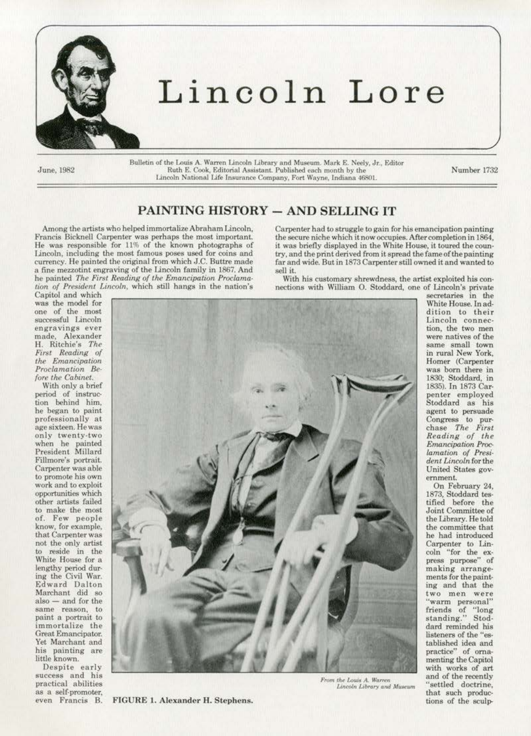

## Lincoln Lore

June, 1982

Bulletin of the Louis A. Warren Lincoln Library and Museum. Mark E. Neely, Jr., Editor Ruth E. Cook, Editorial Assistant, Published each month by the Lincoln National Life Insurance Company, Fort Wayne, Indiana 46801.

Number 1732

## PAINTING HISTORY - AND SELLING IT

Among the artists who helped immortalize Abraham Lincoln. Francis Bicknell Carpenter was perhaps the most important. He was responsible for 11% of the known photographs of Lincoln, including the most famous poses used for coins and currency. He painted the original from which J.C. Buttre made a fine mezzotint engraving of the Lincoln family in 1867. And he painted The First Reading of the Emancipation Proclamation of President Lincoln, which still hangs in the nation's

Carpenter had to struggle to gain for his emancipation painting the secure niche which it now occupies. After completion in 1864, it was briefly displayed in the White House, it toured the country, and the print derived from it spread the fame of the painting far and wide. But in 1873 Carpenter still owned it and wanted to sell it.

With his customary shrewdness, the artist exploited his connections with William O. Stoddard, one of Lincoln's private

Capitol and which was the model for one of the most successful Lincoln engravings ever made, Alexander H. Ritchie's The First Reading of the Emancipation Proclamation Before the Cabinet.

With only a brief period of instruction behind him, he began to paint professionally at age sixteen. He was only twenty-two when he painted President Millard Fillmore's portrait. Carpenter was able to promote his own work and to exploit opportunities which other artists failed to make the most of. Few people know, for example, that Carpenter was not the only artist to reside in the White House for a lengthy period during the Civil War. Edward Dalton<br>Marchant did so also - and for the same reason, to paint a portrait to immortalize the Great Emancipator. Yet Marchant and his painting are little known.

Despite early success and his practical abilities as a self-promoter, even Francis B.

FIGURE 1. Alexander H. Stephens.



From the Louis A. Warren Lincoln Library and Museum

secretaries in the White House. In addition to their<br>Lincoln connection, the two men were natives of the same small town in rural New York. Homer (Carpenter was born there in 1830; Stoddard, in 1835). In 1873 Carpenter employed Stoddard as his<br>agent to persuade Congress to pur-<br>chase The First<br>Reading of the<br>Emancipation Proclamation of President Lincoln for the United States government.

On February 24, 1873, Stoddard testified before the<br>Joint Committee of the Library. He told the committee that he had introduced Carpenter to Lincoln "for the express purpose" of making arrangements for the painting and that the two men were "warm personal" friends of "long<br>standing." Stoddard reminded his listeners of the "established idea and practice" of ornamenting the Capitol with works of art and of the recently "settled doctrine, that such productions of the sculp-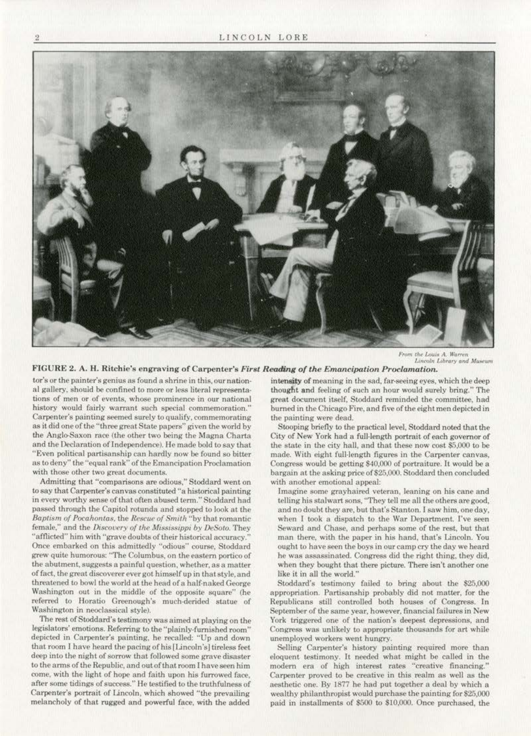

From the Louis A. Warren<br>Lincoln Library and Museum

FIGURE 2. A. H. Ritchie's engraving of Carpenter's First Reading of the Emancipation Proclamation.

tor's or the painter's genius as found a shrine in this, our national gallery, should be confined to more or less literal representations of men or of events, whose prominence in our national history would fairly warrant such special commemoration." Carpenter's painting seemed surely to qualify, commemorating as it did one of the "three great State papers" given the world by the Anglo-Saxon race (the other two being the Magna Charta and the Declaration of Independence). He made bold to say that "Even political partisanship can hardly now be found so bitter as to deny" the "equal rank" of the Emancipation Proclamation with those other two great documents.

Admitting that "comparisons are odious," Stoddard went on to say that Carpenter's canvas constituted "a historical painting in every worthy sense of that often abused term." Stoddard had passed through the Capitol rotunda and stopped to look at the Baptism of Pocahontas, the Rescue of Smith "by that romantic female," and the Discovery of the Mississippi by DeSoto. They "afflicted" him with "grave doubts of their historical accuracy." Once embarked on this admittedly "odious" course, Stoddard grew quite humorous: "The Columbus, on the eastern portico of the abutment, suggests a painful question, whether, as a matter of fact, the great discoverer ever got himself up in that style, and threatened to bowl the world at the head of a half-naked George Washington out in the middle of the opposite square" (he referred to Horatio Greenough's much-derided statue of Washington in neoclassical style).

The rest of Stoddard's testimony was aimed at playing on the legislators' emotions. Referring to the "plainly-furnished room" depicted in Carpenter's painting, he recalled: "Up and down that room I have heard the pacing of his [Lincoln's] tireless feet deep into the night of sorrow that followed some grave disaster to the arms of the Republic, and out of that room I have seen him come, with the light of hope and faith upon his furrowed face, after some tidings of success." He testified to the truthfulness of Carpenter's portrait of Lincoln, which showed "the prevailing melancholy of that rugged and powerful face, with the added

intensity of meaning in the sad, far-seeing eyes, which the deep thought and feeling of such an hour would surely bring." The great document itself, Stoddard reminded the committee, had burned in the Chicago Fire, and five of the eight men depicted in the painting were dead.

Stooping briefly to the practical level, Stoddard noted that the City of New York had a full-length portrait of each governor of the state in the city hall, and that these now cost \$5,000 to be made. With eight full-length figures in the Carpenter canvas, Congress would be getting \$40,000 of portraiture. It would be a bargain at the asking price of \$25,000. Stoddard then concluded with another emotional appeal:

Imagine some grayhaired veteran, leaning on his cane and telling his stalwart sons, "They tell me all the others are good, and no doubt they are, but that's Stanton. I saw him, one day, when I took a dispatch to the War Department. I've seen Seward and Chase, and perhaps some of the rest, but that man there, with the paper in his hand, that's Lincoln. You ought to have seen the boys in our camp cry the day we heard he was assassinated. Congress did the right thing, they did, when they bought that there picture. There isn't another one like it in all the world.'

Stoddard's testimony failed to bring about the \$25,000 appropriation. Partisanship probably did not matter, for the Republicans still controlled both houses of Congress. In September of the same year, however, financial failures in New York triggered one of the nation's deepest depressions, and Congress was unlikely to appropriate thousands for art while unemployed workers went hungry.

Selling Carpenter's history painting required more than eloquent testimony. It needed what might be called in the modern era of high interest rates "creative financing." Carpenter proved to be creative in this realm as well as the aesthetic one. By 1877 he had put together a deal by which a wealthy philanthropist would purchase the painting for \$25,000 paid in installments of \$500 to \$10,000. Once purchased, the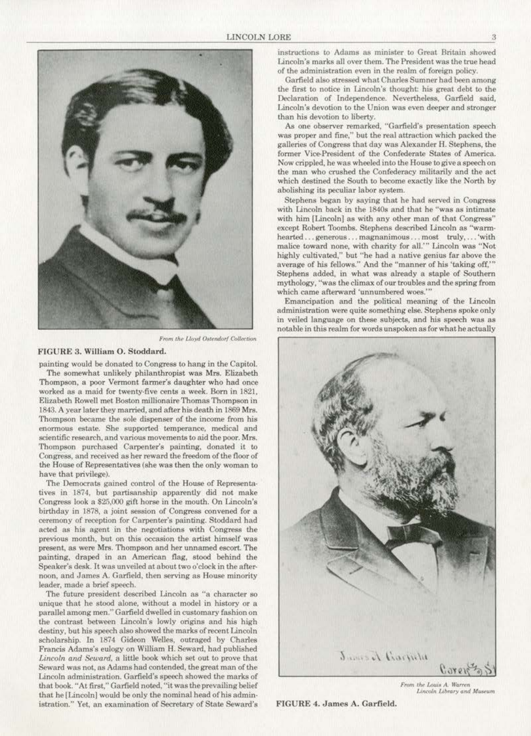

*From the Lloyd Ostendorf Collection* 

## FIGURE 3. William 0. Stoddard.

painting would be donated to Congress to hang in the Capitol. The somewhat unlikely philanthropist was Mrs. Elizabeth Thompson, a poor Vermont farmer's daughter who had once worked as a maid for twenty-five cents a week. Born in 1821, Elizabeth Rowell met Boston millionaire Thomas Thompson in 1843. A year later they married, and afrer his death in 1869 Mrs. Thompson became the sole dispenser of the income from his enormous estate. She supported temperance, medical and scientific research, and various movements to aid the poor. Mrs. Thompson purchased Carpenter's painting, donated it to Congress, and received as her reward the freedom of the floor of the House of Representatives (she was then the only woman *to*  have that privilege).

The Democrats gained control of the House of Representa· tives in l874, but partisanship apparently did not make Congress look a \$25,000 gift horse in the mouth. On Lincoln's birthday in 1878, a joint session of Congress convened for a ceremony of reception for Carpenter's painting. Stoddard had acted as his agent in the negotiations with Congress the previous month, but on this occasion the artist himself was present, as were Mrs. Thompson and her unnamed escort. The painting, draped in an American flag, stood behind the Speaker's desk. It was unveiled at about two o'clock in the afternoon. and James A. Garfield. then serving as House minority leader, made a brief speech.

The future president described Lincoln as "a character so unjque that he stood alone, without a model in history or a parallel among men." Garfield dwelled in customary fashion on the contrast between Lincoln's lowly origins and his high destiny. but his speech also showed the marks of recent Lincoln scholarship. In 1874 Gideon Welles, outraged by Charles Freneis Adams's eulogy on Wiltiam H. Seward, had published *Lint:Oln and Seward,* a little book which set out to prove that Seward was not, as Adams had conrended, the great man of the Lincoln administration. Garfield's speech showed the marks of that book. "At first." Garfield noted, "it was the prevailing belief that he (Lincoln] would be only the nominal head of his admin· istration." Yet, an examination of Secretary of State Seward's

instructions to Adams as minister to Great Britain showed Lincoln's marks all over them. 'fhe President was the true head of the administration even in the realm of foreign policy.

Garfield also stressed what Charles Sumner had been among the first to notice in Lincoln's thought: his great debt to the Declaration of Independence. Nevertheless. Garfield said, Lincoln's devotion to the Union was even deeper and stronger than his devotion to liberty.

As one observer remarked, "Garfield's presentation speech was proper and fine." but the real attraction which packed the galleries of Congress that day was Alexander H. Stephens, the former Vice-President of the Confederate States of America. Now crippled, he was wheeled into the House to give a speech on the man who crushed the Confederacy militarily and the act which destined the South to become exactly like the North by abolishing its peculiar labor system.

Stephens began by saying that he had served in Congress with Lincoln back in the 1840s and that he "was as intimate with him [Lincoln] as with any other man of that Congress" except Robert Toombs. Stephens described Lincoln as "warmhearted ... generous... magnanimous... most truly, ... 'with malice toward none, with charity for all."' Lincoln was "Not highly cultivated," but "he had a native genius far above the average of his fellows." And the "manner of his 'taking off,"' Stephens added, in what was already a staple of Southern mythology, "was the climax of our troubles and the spring from which came afterward 'unnumbered woos."'

Emancipation and the political meaning of the Lincoln administration were quite something else. Stephens spoke only in veiled language on these subjects, and his speech was as notable in this realm for words unspoken as for what he actually



From the Louis A. Warren Lincoln Library and Museum

FIGURE 4. James A. Garfield.